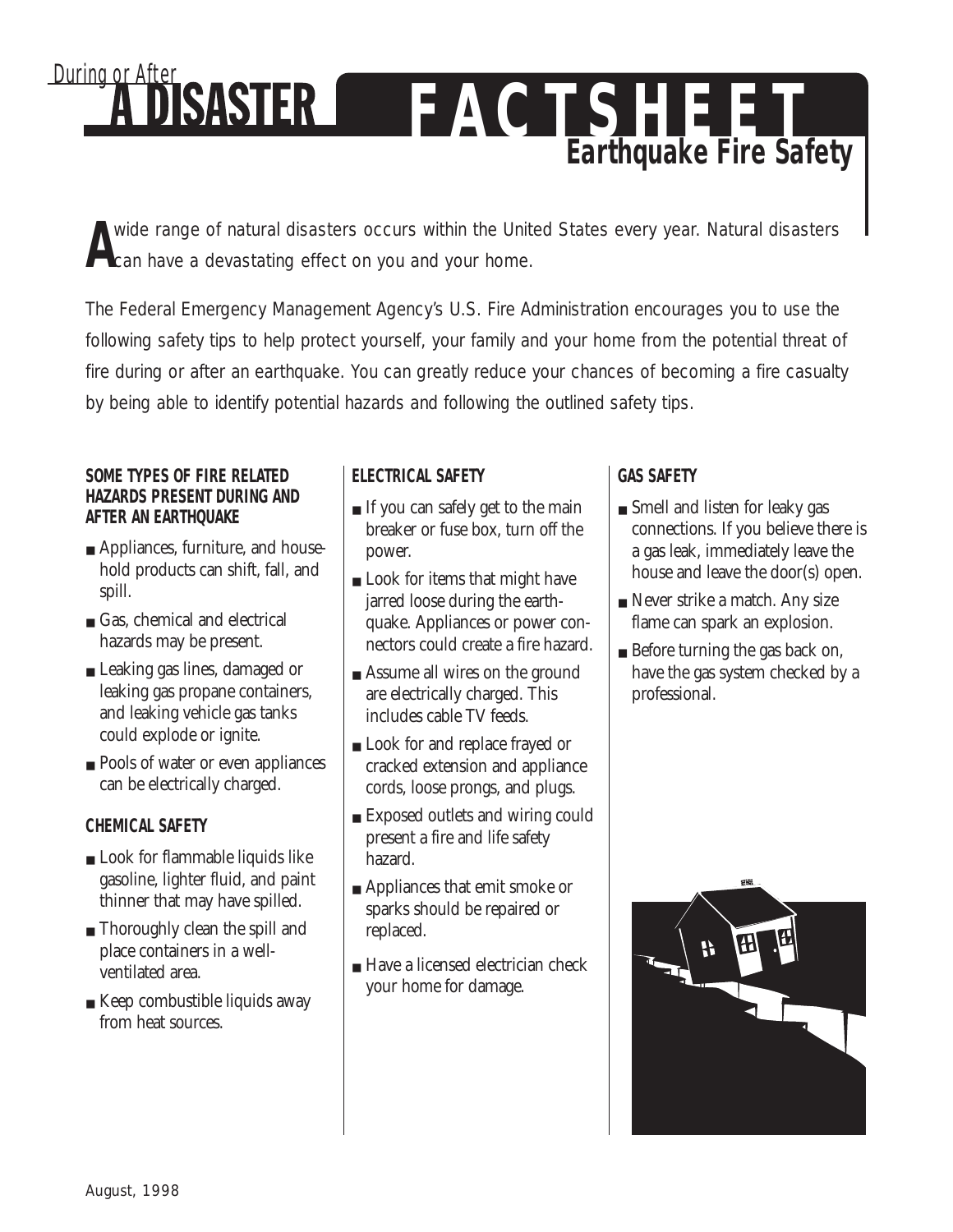# **FACTSHEET Earthquake Fire Safety** During or After

A wide range of natural disasters occurs within the Unit<br>
Can have a devastating effect on you and your home. wide range of natural disasters occurs within the United States every year. Natural disasters

The Federal Emergency Management Agency's U.S. Fire Administration encourages you to use the following safety tips to help protect yourself, your family and your home from the potential threat of fire during or after an earthquake. You can greatly reduce your chances of becoming a fire casualty by being able to identify potential hazards and following the outlined safety tips.

#### **SOME TYPES OF FIRE RELATED HAZARDS PRESENT DURING AND AFTER AN EARTHQUAKE**

- Appliances, furniture, and household products can shift, fall, and spill.
- Gas, chemical and electrical hazards may be present.
- Leaking gas lines, damaged or leaking gas propane containers, and leaking vehicle gas tanks could explode or ignite.
- Pools of water or even appliances can be electrically charged.

## **CHEMICAL SAFETY**

- Look for flammable liquids like gasoline, lighter fluid, and paint thinner that may have spilled.
- Thoroughly clean the spill and place containers in a wellventilated area.
- Keep combustible liquids away from heat sources.

## **ELECTRICAL SAFETY**

- If you can safely get to the main breaker or fuse box, turn off the power.
- Look for items that might have jarred loose during the earthquake. Appliances or power connectors could create a fire hazard.
- Assume all wires on the ground are electrically charged. This includes cable TV feeds.
- Look for and replace frayed or cracked extension and appliance cords, loose prongs, and plugs.
- Exposed outlets and wiring could present a fire and life safety hazard.
- Appliances that emit smoke or sparks should be repaired or replaced.
- Have a licensed electrician check your home for damage.

## **GAS SAFETY**

- Smell and listen for leaky gas connections. If you believe there is a gas leak, immediately leave the house and leave the door(s) open.
- Never strike a match. Any size flame can spark an explosion.
- Before turning the gas back on, have the gas system checked by a professional.